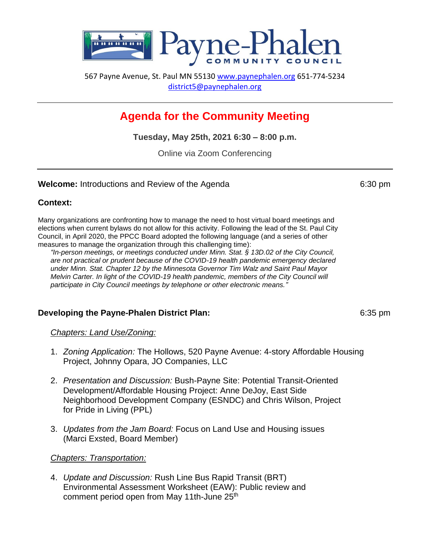

567 Payne Avenue, St. Paul MN 55130 [www.paynephalen.org](http://www.paynephalen.org/) 651-774-5234 [district5@paynephalen.org](mailto:district5@paynephalen.org)

# **Agenda for the Community Meeting**

**Tuesday, May 25th, 2021 6:30 – 8:00 p.m.**

Online via Zoom Conferencing

#### **Welcome:** Introductions and Review of the Agenda 6:30 pm

## **Context:**

Many organizations are confronting how to manage the need to host virtual board meetings and elections when current bylaws do not allow for this activity. Following the lead of the St. Paul City Council, in April 2020, the PPCC Board adopted the following language (and a series of other measures to manage the organization through this challenging time):

*"In-person meetings, or meetings conducted under Minn. Stat. § 13D.02 of the City Council, are not practical or prudent because of the COVID-19 health pandemic emergency declared under Minn. Stat. Chapter 12 by the Minnesota Governor Tim Walz and Saint Paul Mayor Melvin Carter. In light of the COVID-19 health pandemic, members of the City Council will participate in City Council meetings by telephone or other electronic means."*

# **Developing the Payne-Phalen District Plan:** 6:35 pm

*Chapters: Land Use/Zoning:* 

- 1. *Zoning Application:* The Hollows, 520 Payne Avenue: 4-story Affordable Housing Project, Johnny Opara, JO Companies, LLC
- 2. *Presentation and Discussion:* Bush-Payne Site: Potential Transit-Oriented Development/Affordable Housing Project: Anne DeJoy, East Side Neighborhood Development Company (ESNDC) and Chris Wilson, Project for Pride in Living (PPL)
- 3. *Updates from the Jam Board:* Focus on Land Use and Housing issues (Marci Exsted, Board Member)

## *Chapters: Transportation:*

4. *Update and Discussion:* Rush Line Bus Rapid Transit (BRT) Environmental Assessment Worksheet (EAW): Public review and comment period open from May 11th-June 25<sup>th</sup>